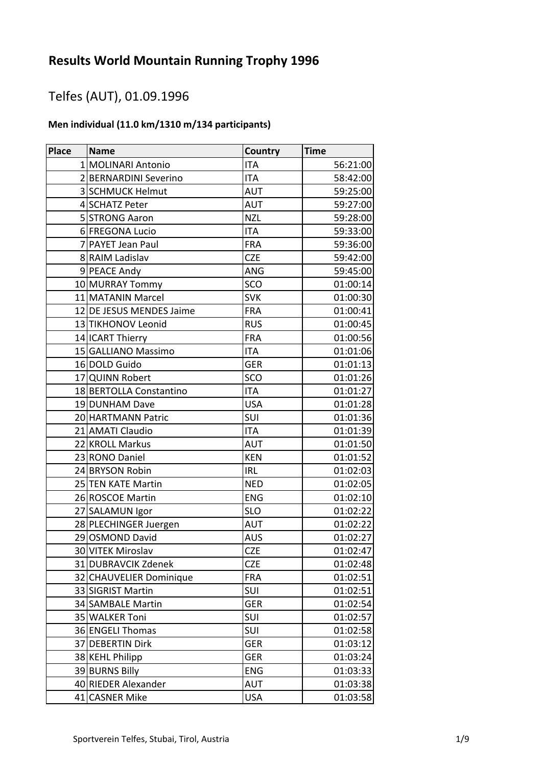# Telfes (AUT), 01.09.1996

### **Men individual (11.0 km/1310 m/134 participants)**

| <b>Place</b> | <b>Name</b>              | Country    | <b>Time</b> |
|--------------|--------------------------|------------|-------------|
|              | 1 MOLINARI Antonio       | <b>ITA</b> | 56:21:00    |
|              | 2BERNARDINI Severino     | <b>ITA</b> | 58:42:00    |
|              | 3 SCHMUCK Helmut         | <b>AUT</b> | 59:25:00    |
|              | 4 SCHATZ Peter           | <b>AUT</b> | 59:27:00    |
|              | 5 STRONG Aaron           | <b>NZL</b> | 59:28:00    |
|              | 6 FREGONA Lucio          | <b>ITA</b> | 59:33:00    |
|              | 7 PAYET Jean Paul        | <b>FRA</b> | 59:36:00    |
|              | 8 RAIM Ladislav          | <b>CZE</b> | 59:42:00    |
|              | 9 PEACE Andy             | ANG        | 59:45:00    |
|              | 10 MURRAY Tommy          | SCO        | 01:00:14    |
|              | 11 MATANIN Marcel        | <b>SVK</b> | 01:00:30    |
|              | 12 DE JESUS MENDES Jaime | <b>FRA</b> | 01:00:41    |
|              | 13 TIKHONOV Leonid       | <b>RUS</b> | 01:00:45    |
|              | 14 ICART Thierry         | <b>FRA</b> | 01:00:56    |
|              | 15 GALLIANO Massimo      | <b>ITA</b> | 01:01:06    |
|              | 16 DOLD Guido            | <b>GER</b> | 01:01:13    |
|              | 17 QUINN Robert          | SCO        | 01:01:26    |
|              | 18 BERTOLLA Constantino  | <b>ITA</b> | 01:01:27    |
|              | 19 DUNHAM Dave           | <b>USA</b> | 01:01:28    |
|              | 20 HARTMANN Patric       | SUI        | 01:01:36    |
|              | 21 AMATI Claudio         | <b>ITA</b> | 01:01:39    |
|              | 22 KROLL Markus          | AUT        | 01:01:50    |
|              | 23 RONO Daniel           | <b>KEN</b> | 01:01:52    |
|              | 24 BRYSON Robin          | <b>IRL</b> | 01:02:03    |
|              | 25 TEN KATE Martin       | <b>NED</b> | 01:02:05    |
|              | 26 ROSCOE Martin         | <b>ENG</b> | 01:02:10    |
|              | 27 SALAMUN Igor          | <b>SLO</b> | 01:02:22    |
|              | 28 PLECHINGER Juergen    | <b>AUT</b> | 01:02:22    |
|              | 29 OSMOND David          | <b>AUS</b> | 01:02:27    |
|              | 30 VITEK Miroslav        | <b>CZE</b> | 01:02:47    |
|              | 31 DUBRAVCIK Zdenek      | <b>CZE</b> | 01:02:48    |
|              | 32 CHAUVELIER Dominique  | <b>FRA</b> | 01:02:51    |
|              | 33 SIGRIST Martin        | SUI        | 01:02:51    |
|              | 34 SAMBALE Martin        | <b>GER</b> | 01:02:54    |
|              | 35 WALKER Toni           | <b>SUI</b> | 01:02:57    |
|              | 36 ENGELI Thomas         | SUI        | 01:02:58    |
|              | 37 DEBERTIN Dirk         | <b>GER</b> | 01:03:12    |
|              | 38 KEHL Philipp          | <b>GER</b> | 01:03:24    |
|              | 39 BURNS Billy           | <b>ENG</b> | 01:03:33    |
|              | 40 RIEDER Alexander      | <b>AUT</b> | 01:03:38    |
|              | 41 CASNER Mike           | <b>USA</b> | 01:03:58    |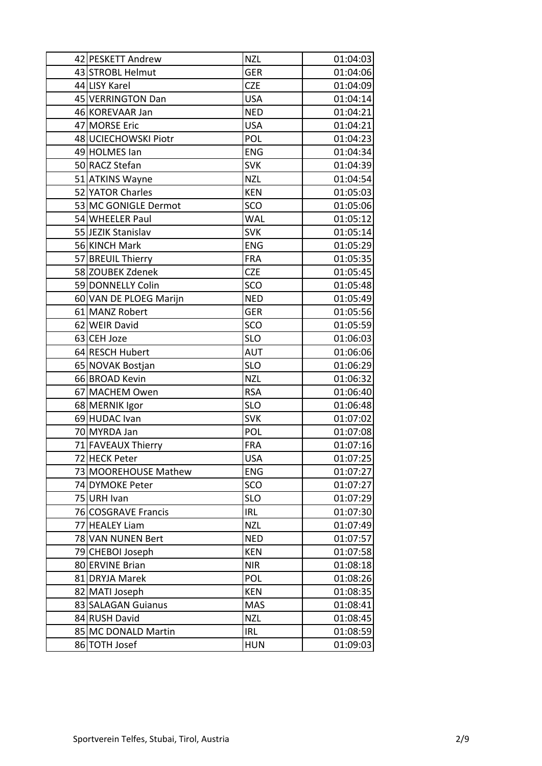| 42 PESKETT Andrew      | <b>NZL</b> | 01:04:03 |
|------------------------|------------|----------|
| 43 STROBL Helmut       | <b>GER</b> | 01:04:06 |
| 44 LISY Karel          | <b>CZE</b> | 01:04:09 |
| 45 VERRINGTON Dan      | <b>USA</b> | 01:04:14 |
| 46 KOREVAAR Jan        | <b>NED</b> | 01:04:21 |
| 47 MORSE Eric          | <b>USA</b> | 01:04:21 |
| 48 UCIECHOWSKI Piotr   | POL        | 01:04:23 |
| 49 HOLMES Ian          | <b>ENG</b> | 01:04:34 |
| 50 RACZ Stefan         | <b>SVK</b> | 01:04:39 |
| 51 ATKINS Wayne        | <b>NZL</b> | 01:04:54 |
| 52 YATOR Charles       | <b>KEN</b> | 01:05:03 |
| 53 MC GONIGLE Dermot   | SCO        | 01:05:06 |
| 54 WHEELER Paul        | WAL        | 01:05:12 |
| 55 JEZIK Stanislav     | <b>SVK</b> | 01:05:14 |
| 56 KINCH Mark          | <b>ENG</b> | 01:05:29 |
| 57 BREUIL Thierry      | <b>FRA</b> | 01:05:35 |
| 58 ZOUBEK Zdenek       | <b>CZE</b> | 01:05:45 |
| 59 DONNELLY Colin      | SCO        | 01:05:48 |
| 60 VAN DE PLOEG Marijn | <b>NED</b> | 01:05:49 |
| 61 MANZ Robert         | <b>GER</b> | 01:05:56 |
| 62 WEIR David          | SCO        | 01:05:59 |
| 63 CEH Joze            | <b>SLO</b> | 01:06:03 |
| 64 RESCH Hubert        | <b>AUT</b> | 01:06:06 |
| 65 NOVAK Bostjan       | <b>SLO</b> | 01:06:29 |
| 66 BROAD Kevin         | <b>NZL</b> | 01:06:32 |
| 67 MACHEM Owen         | <b>RSA</b> | 01:06:40 |
| 68 MERNIK Igor         | <b>SLO</b> | 01:06:48 |
| 69 HUDAC Ivan          | <b>SVK</b> | 01:07:02 |
| 70 MYRDA Jan           | POL        | 01:07:08 |
| 71 FAVEAUX Thierry     | <b>FRA</b> | 01:07:16 |
| 72 HECK Peter          | <b>USA</b> | 01:07:25 |
| 73 MOOREHOUSE Mathew   | <b>ENG</b> | 01:07:27 |
| 74 DYMOKE Peter        | SCO        | 01:07:27 |
| 75 URH Ivan            | <b>SLO</b> | 01:07:29 |
| 76 COSGRAVE Francis    | IRL        | 01:07:30 |
| 77 HEALEY Liam         | <b>NZL</b> | 01:07:49 |
| 78 VAN NUNEN Bert      | <b>NED</b> | 01:07:57 |
| 79 CHEBOI Joseph       | <b>KEN</b> | 01:07:58 |
| 80 ERVINE Brian        | <b>NIR</b> | 01:08:18 |
| 81 DRYJA Marek         | POL        | 01:08:26 |
| 82 MATI Joseph         | <b>KEN</b> | 01:08:35 |
| 83 SALAGAN Guianus     | <b>MAS</b> | 01:08:41 |
| 84 RUSH David          | <b>NZL</b> | 01:08:45 |
| 85 MC DONALD Martin    | IRL        | 01:08:59 |
| 86 TOTH Josef          | <b>HUN</b> | 01:09:03 |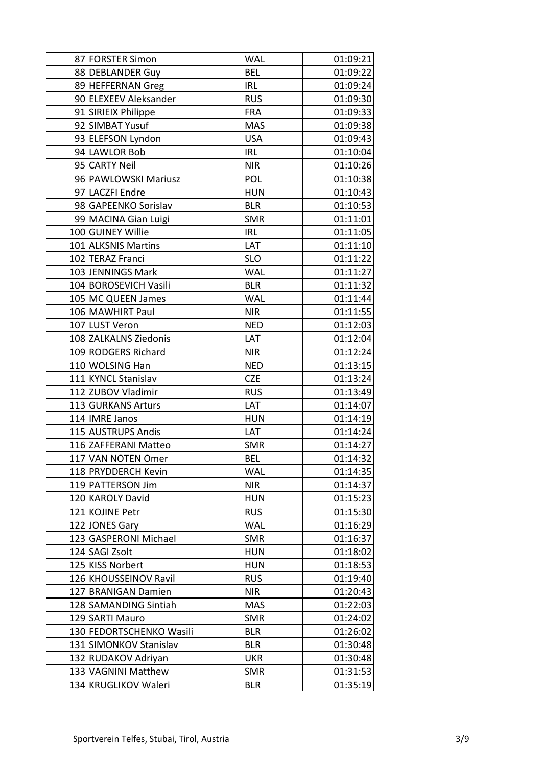| 87 FORSTER Simon         | <b>WAL</b> | 01:09:21 |
|--------------------------|------------|----------|
| 88 DEBLANDER Guy         | <b>BEL</b> | 01:09:22 |
| 89 HEFFERNAN Greg        | <b>IRL</b> | 01:09:24 |
| 90 ELEXEEV Aleksander    | <b>RUS</b> | 01:09:30 |
| 91 SIRIEIX Philippe      | <b>FRA</b> | 01:09:33 |
| 92 SIMBAT Yusuf          | <b>MAS</b> | 01:09:38 |
| 93 ELEFSON Lyndon        | <b>USA</b> | 01:09:43 |
| 94 LAWLOR Bob            | <b>IRL</b> | 01:10:04 |
| 95 CARTY Neil            | <b>NIR</b> | 01:10:26 |
| 96 PAWLOWSKI Mariusz     | POL        | 01:10:38 |
| 97 LACZFI Endre          | <b>HUN</b> | 01:10:43 |
| 98 GAPEENKO Sorislav     | <b>BLR</b> | 01:10:53 |
| 99 MACINA Gian Luigi     | <b>SMR</b> | 01:11:01 |
| 100 GUINEY Willie        | <b>IRL</b> | 01:11:05 |
| 101 ALKSNIS Martins      | LAT        | 01:11:10 |
| 102 TERAZ Franci         | <b>SLO</b> | 01:11:22 |
| 103 JENNINGS Mark        | <b>WAL</b> | 01:11:27 |
| 104 BOROSEVICH Vasili    | <b>BLR</b> | 01:11:32 |
| 105 MC QUEEN James       | <b>WAL</b> | 01:11:44 |
| 106 MAWHIRT Paul         | <b>NIR</b> | 01:11:55 |
| 107 LUST Veron           | <b>NED</b> | 01:12:03 |
| 108 ZALKALNS Ziedonis    | LAT        | 01:12:04 |
| 109 RODGERS Richard      | <b>NIR</b> | 01:12:24 |
| 110 WOLSING Han          | <b>NED</b> | 01:13:15 |
| 111 KYNCL Stanislav      | <b>CZE</b> | 01:13:24 |
| 112 ZUBOV Vladimir       | <b>RUS</b> | 01:13:49 |
| 113 GURKANS Arturs       | LAT        | 01:14:07 |
| 114 IMRE Janos           | <b>HUN</b> | 01:14:19 |
| 115 AUSTRUPS Andis       | LAT        | 01:14:24 |
| 116 ZAFFERANI Matteo     | <b>SMR</b> | 01:14:27 |
| 117 VAN NOTEN Omer       | <b>BEL</b> | 01:14:32 |
| 118 PRYDDERCH Kevin      | <b>WAL</b> | 01:14:35 |
| 119 PATTERSON Jim        | <b>NIR</b> | 01:14:37 |
| 120 KAROLY David         | <b>HUN</b> | 01:15:23 |
| 121 KOJINE Petr          | <b>RUS</b> | 01:15:30 |
| 122 JONES Gary           | <b>WAL</b> | 01:16:29 |
| 123 GASPERONI Michael    | <b>SMR</b> | 01:16:37 |
| 124 SAGI Zsolt           | <b>HUN</b> | 01:18:02 |
| 125 KISS Norbert         | <b>HUN</b> | 01:18:53 |
| 126 KHOUSSEINOV Ravil    | <b>RUS</b> | 01:19:40 |
| 127 BRANIGAN Damien      | <b>NIR</b> | 01:20:43 |
| 128 SAMANDING Sintiah    | <b>MAS</b> | 01:22:03 |
| 129 SARTI Mauro          | <b>SMR</b> | 01:24:02 |
| 130 FEDORTSCHENKO Wasili | <b>BLR</b> | 01:26:02 |
| 131 SIMONKOV Stanislav   | <b>BLR</b> | 01:30:48 |
| 132 RUDAKOV Adriyan      | <b>UKR</b> | 01:30:48 |
| 133 VAGNINI Matthew      | <b>SMR</b> | 01:31:53 |
| 134 KRUGLIKOV Waleri     | <b>BLR</b> | 01:35:19 |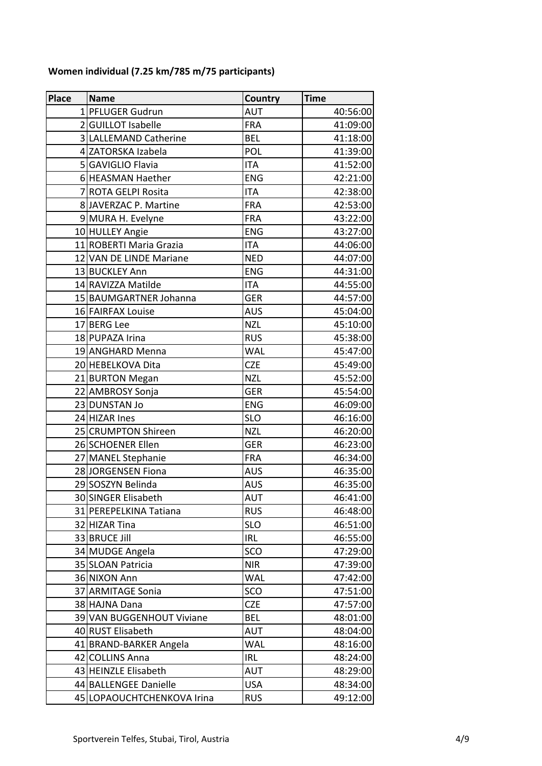| <b>Place</b> | <b>Name</b>                | Country    | <b>Time</b> |
|--------------|----------------------------|------------|-------------|
|              | 1 PFLUGER Gudrun           | <b>AUT</b> | 40:56:00    |
|              | 2 GUILLOT Isabelle         | <b>FRA</b> | 41:09:00    |
|              | 3 LALLEMAND Catherine      | <b>BEL</b> | 41:18:00    |
|              | 4 ZATORSKA Izabela         | POL        | 41:39:00    |
|              | 5 GAVIGLIO Flavia          | <b>ITA</b> | 41:52:00    |
|              | 6 HEASMAN Haether          | <b>ENG</b> | 42:21:00    |
|              | 7 ROTA GELPI Rosita        | <b>ITA</b> | 42:38:00    |
|              | 8 JAVERZAC P. Martine      | <b>FRA</b> | 42:53:00    |
|              | 9 MURA H. Evelyne          | <b>FRA</b> | 43:22:00    |
|              | 10 HULLEY Angie            | <b>ENG</b> | 43:27:00    |
|              | 11 ROBERTI Maria Grazia    | <b>ITA</b> | 44:06:00    |
|              | 12 VAN DE LINDE Mariane    | <b>NED</b> | 44:07:00    |
|              | 13 BUCKLEY Ann             | <b>ENG</b> | 44:31:00    |
|              | 14 RAVIZZA Matilde         | <b>ITA</b> | 44:55:00    |
|              | 15 BAUMGARTNER Johanna     | <b>GER</b> | 44:57:00    |
|              | 16 FAIRFAX Louise          | <b>AUS</b> | 45:04:00    |
|              | 17 BERG Lee                | <b>NZL</b> | 45:10:00    |
|              | 18 PUPAZA Irina            | <b>RUS</b> | 45:38:00    |
|              | 19 ANGHARD Menna           | <b>WAL</b> | 45:47:00    |
|              | 20 HEBELKOVA Dita          | <b>CZE</b> | 45:49:00    |
|              | 21 BURTON Megan            | <b>NZL</b> | 45:52:00    |
|              | 22 AMBROSY Sonja           | <b>GER</b> | 45:54:00    |
|              | 23 DUNSTAN Jo              | <b>ENG</b> | 46:09:00    |
|              | 24 HIZAR Ines              | <b>SLO</b> | 46:16:00    |
|              | 25 CRUMPTON Shireen        | <b>NZL</b> | 46:20:00    |
|              | 26 SCHOENER Ellen          | <b>GER</b> | 46:23:00    |
|              | 27 MANEL Stephanie         | <b>FRA</b> | 46:34:00    |
|              | 28JORGENSEN Fiona          | <b>AUS</b> | 46:35:00    |
|              | 29 SOSZYN Belinda          | <b>AUS</b> | 46:35:00    |
|              | 30 SINGER Elisabeth        | <b>AUT</b> | 46:41:00    |
|              | 31 PEREPELKINA Tatiana     | <b>RUS</b> | 46:48:00    |
|              | 32 HIZAR Tina              | <b>SLO</b> | 46:51:00    |
|              | 33 BRUCE Jill              | <b>IRL</b> | 46:55:00    |
|              | 34 MUDGE Angela            | SCO        | 47:29:00    |
|              | 35 SLOAN Patricia          | <b>NIR</b> | 47:39:00    |
|              | 36 NIXON Ann               | <b>WAL</b> | 47:42:00    |
|              | 37 ARMITAGE Sonia          | SCO        | 47:51:00    |
|              | 38 HAJNA Dana              | <b>CZE</b> | 47:57:00    |
|              | 39 VAN BUGGENHOUT Viviane  | <b>BEL</b> | 48:01:00    |
|              | 40 RUST Elisabeth          | <b>AUT</b> | 48:04:00    |
|              | 41 BRAND-BARKER Angela     | <b>WAL</b> | 48:16:00    |
|              | 42 COLLINS Anna            | <b>IRL</b> | 48:24:00    |
|              | 43 HEINZLE Elisabeth       | AUT        | 48:29:00    |
|              | 44 BALLENGEE Danielle      | <b>USA</b> | 48:34:00    |
|              | 45 LOPAOUCHTCHENKOVA Irina | <b>RUS</b> | 49:12:00    |

### **Women individual (7.25 km/785 m/75 participants)**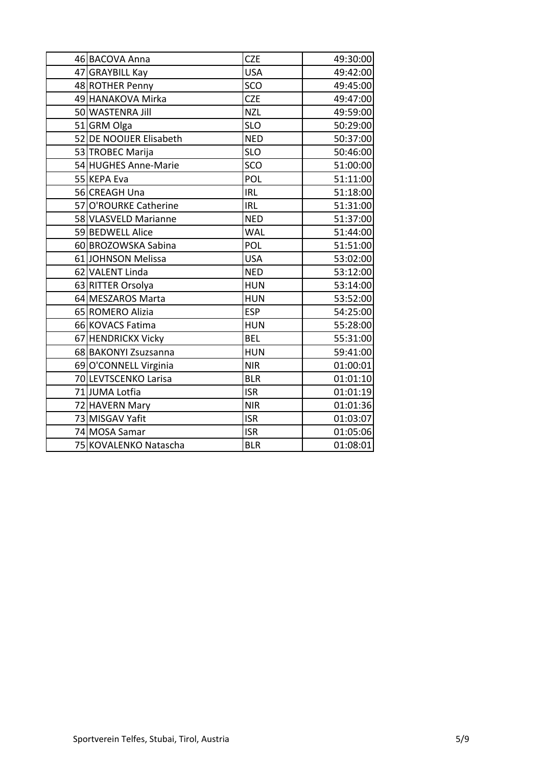| 46 BACOVA Anna          | <b>CZE</b> | 49:30:00 |
|-------------------------|------------|----------|
| 47 GRAYBILL Kay         | <b>USA</b> | 49:42:00 |
| 48 ROTHER Penny         | SCO        | 49:45:00 |
| 49 HANAKOVA Mirka       | <b>CZE</b> | 49:47:00 |
| 50 WASTENRA Jill        | <b>NZL</b> | 49:59:00 |
| 51 GRM Olga             | <b>SLO</b> | 50:29:00 |
| 52 DE NOOIJER Elisabeth | <b>NED</b> | 50:37:00 |
| 53 TROBEC Marija        | <b>SLO</b> | 50:46:00 |
| 54 HUGHES Anne-Marie    | SCO        | 51:00:00 |
| 55 KEPA Eva             | POL        | 51:11:00 |
| 56 CREAGH Una           | <b>IRL</b> | 51:18:00 |
| 57 O'ROURKE Catherine   | <b>IRL</b> | 51:31:00 |
| 58 VLASVELD Marianne    | <b>NED</b> | 51:37:00 |
| 59 BEDWELL Alice        | <b>WAL</b> | 51:44:00 |
| 60 BROZOWSKA Sabina     | POL        | 51:51:00 |
| 61 JOHNSON Melissa      | <b>USA</b> | 53:02:00 |
| 62 VALENT Linda         | <b>NED</b> | 53:12:00 |
| 63 RITTER Orsolya       | <b>HUN</b> | 53:14:00 |
| 64 MESZAROS Marta       | <b>HUN</b> | 53:52:00 |
| 65 ROMERO Alizia        | <b>ESP</b> | 54:25:00 |
| 66 KOVACS Fatima        | <b>HUN</b> | 55:28:00 |
| 67 HENDRICKX Vicky      | <b>BEL</b> | 55:31:00 |
| 68 BAKONYI Zsuzsanna    | <b>HUN</b> | 59:41:00 |
| 69 O'CONNELL Virginia   | <b>NIR</b> | 01:00:01 |
| 70 LEVTSCENKO Larisa    | <b>BLR</b> | 01:01:10 |
| 71 JUMA Lotfia          | <b>ISR</b> | 01:01:19 |
| 72 HAVERN Mary          | <b>NIR</b> | 01:01:36 |
| 73 MISGAV Yafit         | <b>ISR</b> | 01:03:07 |
| 74 MOSA Samar           | <b>ISR</b> | 01:05:06 |
| 75 KOVALENKO Natascha   | <b>BLR</b> | 01:08:01 |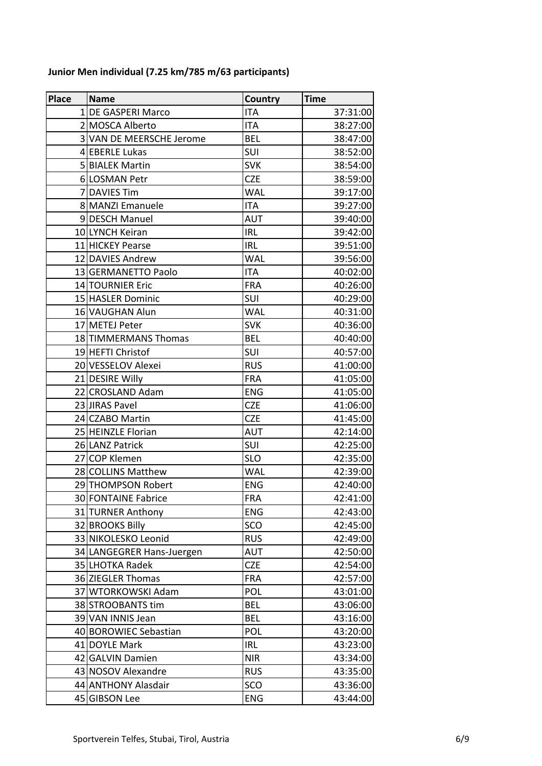| <b>Place</b> | <b>Name</b>               | Country    | <b>Time</b> |
|--------------|---------------------------|------------|-------------|
|              | 1 DE GASPERI Marco        | <b>ITA</b> | 37:31:00    |
|              | 2 MOSCA Alberto           | <b>ITA</b> | 38:27:00    |
|              | 3 VAN DE MEERSCHE Jerome  | <b>BEL</b> | 38:47:00    |
|              | 4 EBERLE Lukas            | <b>SUI</b> | 38:52:00    |
|              | 5 BIALEK Martin           | <b>SVK</b> | 38:54:00    |
|              | 6 LOSMAN Petr             | <b>CZE</b> | 38:59:00    |
|              | 7 DAVIES Tim              | <b>WAL</b> | 39:17:00    |
|              | 8 MANZI Emanuele          | <b>ITA</b> | 39:27:00    |
|              | 9DESCH Manuel             | <b>AUT</b> | 39:40:00    |
|              | 10 LYNCH Keiran           | <b>IRL</b> | 39:42:00    |
|              | 11 HICKEY Pearse          | <b>IRL</b> | 39:51:00    |
|              | 12 DAVIES Andrew          | <b>WAL</b> | 39:56:00    |
|              | 13 GERMANETTO Paolo       | <b>ITA</b> | 40:02:00    |
|              | 14 TOURNIER Eric          | <b>FRA</b> | 40:26:00    |
|              | 15 HASLER Dominic         | <b>SUI</b> | 40:29:00    |
|              | 16 VAUGHAN Alun           | <b>WAL</b> | 40:31:00    |
|              | 17 METEJ Peter            | <b>SVK</b> | 40:36:00    |
|              | 18 TIMMERMANS Thomas      | <b>BEL</b> | 40:40:00    |
|              | 19 HEFTI Christof         | SUI        | 40:57:00    |
|              | 20 VESSELOV Alexei        | <b>RUS</b> | 41:00:00    |
|              | 21 DESIRE Willy           | <b>FRA</b> | 41:05:00    |
|              | 22 CROSLAND Adam          | <b>ENG</b> | 41:05:00    |
|              | 23 JIRAS Pavel            | <b>CZE</b> | 41:06:00    |
|              | 24 CZABO Martin           | <b>CZE</b> | 41:45:00    |
|              | 25 HEINZLE Florian        | <b>AUT</b> | 42:14:00    |
|              | 26 LANZ Patrick           | SUI        | 42:25:00    |
|              | 27 COP Klemen             | <b>SLO</b> | 42:35:00    |
|              | 28 COLLINS Matthew        | <b>WAL</b> | 42:39:00    |
|              | 29 THOMPSON Robert        | <b>ENG</b> | 42:40:00    |
|              | 30 FONTAINE Fabrice       | <b>FRA</b> | 42:41:00    |
|              | 31 TURNER Anthony         | <b>ENG</b> | 42:43:00    |
|              | 32 BROOKS Billy           | SCO        | 42:45:00    |
|              | 33 NIKOLESKO Leonid       | <b>RUS</b> | 42:49:00    |
|              | 34 LANGEGRER Hans-Juergen | <b>AUT</b> | 42:50:00    |
|              | 35 LHOTKA Radek           | <b>CZE</b> | 42:54:00    |
|              | 36 ZIEGLER Thomas         | <b>FRA</b> | 42:57:00    |
|              | 37 WTORKOWSKI Adam        | POL        | 43:01:00    |
|              | 38 STROOBANTS tim         | <b>BEL</b> | 43:06:00    |
|              | 39 VAN INNIS Jean         | <b>BEL</b> | 43:16:00    |
|              | 40 BOROWIEC Sebastian     | POL        | 43:20:00    |
|              | 41 DOYLE Mark             | <b>IRL</b> | 43:23:00    |
|              | 42 GALVIN Damien          | <b>NIR</b> | 43:34:00    |
|              | 43 NOSOV Alexandre        | <b>RUS</b> | 43:35:00    |
|              | 44 ANTHONY Alasdair       | SCO        | 43:36:00    |
|              | 45 GIBSON Lee             | <b>ENG</b> | 43:44:00    |

## **Junior Men individual (7.25 km/785 m/63 participants)**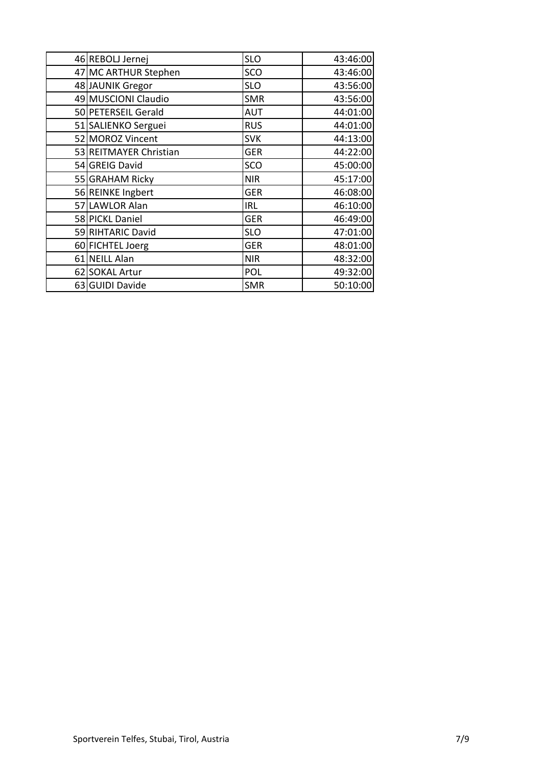| 46 REBOLJ Jernej       | <b>SLO</b> | 43:46:00 |
|------------------------|------------|----------|
| 47 MC ARTHUR Stephen   | SCO        | 43:46:00 |
| 48 JAUNIK Gregor       | <b>SLO</b> | 43:56:00 |
| 49 MUSCIONI Claudio    | <b>SMR</b> | 43:56:00 |
| 50 PETERSEIL Gerald    | <b>AUT</b> | 44:01:00 |
| 51 SALIENKO Serguei    | <b>RUS</b> | 44:01:00 |
| 52 MOROZ Vincent       | <b>SVK</b> | 44:13:00 |
| 53 REITMAYER Christian | <b>GER</b> | 44:22:00 |
| 54 GREIG David         | SCO        | 45:00:00 |
| 55 GRAHAM Ricky        | <b>NIR</b> | 45:17:00 |
| 56 REINKE Ingbert      | <b>GER</b> | 46:08:00 |
| 57 LAWLOR Alan         | <b>IRL</b> | 46:10:00 |
| 58 PICKL Daniel        | <b>GER</b> | 46:49:00 |
| 59 RIHTARIC David      | <b>SLO</b> | 47:01:00 |
| 60 FICHTEL Joerg       | <b>GER</b> | 48:01:00 |
| 61 NEILL Alan          | <b>NIR</b> | 48:32:00 |
| 62 SOKAL Artur         | POL        | 49:32:00 |
| 63 GUIDI Davide        | <b>SMR</b> | 50:10:00 |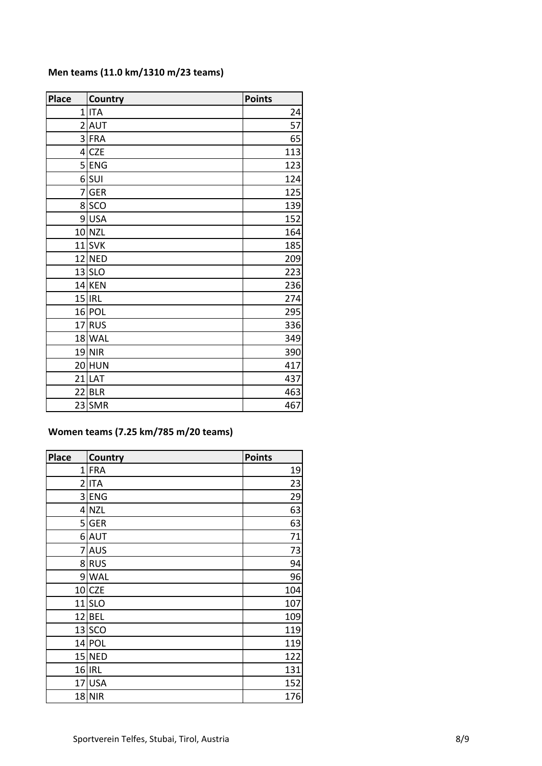| Men teams (11.0 km/1310 m/23 teams) |  |  |  |  |
|-------------------------------------|--|--|--|--|
|-------------------------------------|--|--|--|--|

| <b>Place</b>    | <b>Country</b> | <b>Points</b> |
|-----------------|----------------|---------------|
| 1               | <b>ITA</b>     | 24            |
|                 | $2$ $AUT$      | 57            |
| $\overline{3}$  | <b>FRA</b>     | 65            |
| $\vert 4 \vert$ | <b>CZE</b>     | 113           |
| 5 <sup>1</sup>  | <b>ENG</b>     | 123           |
|                 | $6$ SUI        | 124           |
|                 | 7 GER          | 125           |
|                 | 8 SCO          | 139           |
|                 | 9USA           | 152           |
|                 | $10$ NZL       | 164           |
|                 | $11$ SVK       | 185           |
|                 | 12 NED         | 209           |
|                 | $13$ SLO       | 223           |
|                 | 14 KEN         | 236           |
|                 | $15$  IRL      | 274           |
|                 | $16$ POL       | 295           |
|                 | 17RUS          | 336           |
|                 | 18 WAL         | 349           |
|                 | $19$ NIR       | 390           |
|                 | 20 HUN         | 417           |
|                 | $21$ LAT       | 437           |
|                 | $22$ BLR       | 463           |
|                 | 23 SMR         | 467           |

#### **Women teams (7.25 km/785 m/20 teams)**

| <b>Place</b>   | <b>Country</b> | <b>Points</b> |
|----------------|----------------|---------------|
| $1\vert$       | <b>FRA</b>     | 19            |
| $\overline{2}$ | <b>ITA</b>     | 23            |
|                | 3ENG           | 29            |
|                | $4$ NZL        | 63            |
|                | 5GER           | 63            |
|                | 6 AUT          | 71            |
|                | 7 AUS          | 73            |
|                | 8RUS           | 94            |
|                | 9 WAL          | 96            |
|                | $10$ CZE       | 104           |
|                | $11$ SLO       | 107           |
|                | 12 BEL         | 109           |
|                | 13 SCO         | 119           |
|                | 14 POL         | 119           |
|                | 15 NED         | 122           |
|                | 16 IRL         | 131           |
|                | $17$ USA       | 152           |
|                | 18 NR          | 176           |